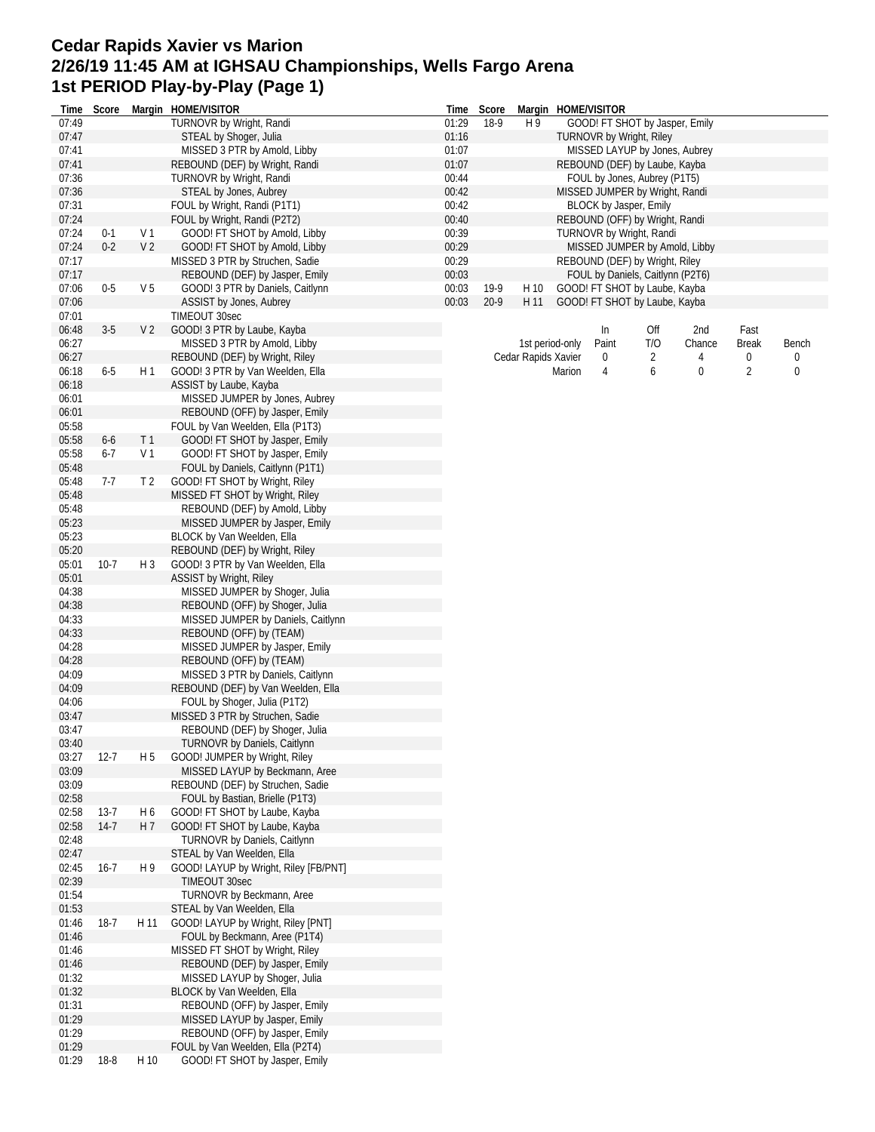## **Cedar Rapids Xavier vs Marion 2/26/19 11:45 AM at IGHSAU Championships, Wells Fargo Arena 1st PERIOD Play-by-Play (Page 1)**

| Time           | Score    |                | Margin HOME/VISITOR                                            | Time           | Score  |                     |                 | Margin HOME/VISITOR              |     |             |                |       |
|----------------|----------|----------------|----------------------------------------------------------------|----------------|--------|---------------------|-----------------|----------------------------------|-----|-------------|----------------|-------|
| 07:49          |          |                | TURNOVR by Wright, Randi                                       | 01:29          | 18-9   | H 9                 |                 | GOOD! FT SHOT by Jasper, Emily   |     |             |                |       |
| 07:47          |          |                | STEAL by Shoger, Julia                                         | 01:16          |        |                     |                 | <b>TURNOVR by Wright, Riley</b>  |     |             |                |       |
| 07:41          |          |                | MISSED 3 PTR by Amold, Libby                                   | 01:07          |        |                     |                 | MISSED LAYUP by Jones, Aubrey    |     |             |                |       |
| 07:41          |          |                | REBOUND (DEF) by Wright, Randi                                 | 01:07          |        |                     |                 | REBOUND (DEF) by Laube, Kayba    |     |             |                |       |
| 07:36          |          |                | TURNOVR by Wright, Randi                                       | 00:44          |        |                     |                 | FOUL by Jones, Aubrey (P1T5)     |     |             |                |       |
| 07:36          |          |                | STEAL by Jones, Aubrey                                         | 00:42          |        |                     |                 | MISSED JUMPER by Wright, Randi   |     |             |                |       |
| 07:31          |          |                | FOUL by Wright, Randi (P1T1)                                   | 00:42          |        |                     |                 | BLOCK by Jasper, Emily           |     |             |                |       |
| 07:24          |          |                | FOUL by Wright, Randi (P2T2)                                   | 00:40          |        |                     |                 | REBOUND (OFF) by Wright, Randi   |     |             |                |       |
| 07:24          | $0 - 1$  | V <sub>1</sub> | GOOD! FT SHOT by Amold, Libby                                  | 00:39          |        |                     |                 | TURNOVR by Wright, Randi         |     |             |                |       |
| 07:24          | $0 - 2$  | V <sub>2</sub> | GOOD! FT SHOT by Amold, Libby                                  | 00:29          |        |                     |                 | MISSED JUMPER by Amold, Libby    |     |             |                |       |
| 07:17          |          |                | MISSED 3 PTR by Struchen, Sadie                                | 00:29          |        |                     |                 | REBOUND (DEF) by Wright, Riley   |     |             |                |       |
| 07:17          | $0-5$    | V <sub>5</sub> | REBOUND (DEF) by Jasper, Emily                                 | 00:03          | 19-9   |                     |                 | FOUL by Daniels, Caitlynn (P2T6) |     |             |                |       |
| 07:06<br>07:06 |          |                | GOOD! 3 PTR by Daniels, Caitlynn<br>ASSIST by Jones, Aubrey    | 00:03<br>00:03 | $20-9$ | H 10<br>H 11        |                 | GOOD! FT SHOT by Laube, Kayba    |     |             |                |       |
| 07:01          |          |                | TIMEOUT 30sec                                                  |                |        |                     |                 | GOOD! FT SHOT by Laube, Kayba    |     |             |                |       |
| 06:48          | $3-5$    | V <sub>2</sub> | GOOD! 3 PTR by Laube, Kayba                                    |                |        |                     |                 | In                               | Off | 2nd         | Fast           |       |
| 06:27          |          |                | MISSED 3 PTR by Amold, Libby                                   |                |        |                     | 1st period-only | Paint                            | T/O | Chance      | <b>Break</b>   | Bench |
| 06:27          |          |                | REBOUND (DEF) by Wright, Riley                                 |                |        | Cedar Rapids Xavier |                 | 0                                | 2   | 4           | 0              | 0     |
| 06:18          | $6-5$    | H1             | GOOD! 3 PTR by Van Weelden, Ella                               |                |        |                     | Marion          | 4                                | 6   | $\mathbf 0$ | $\overline{2}$ | 0     |
| 06:18          |          |                | ASSIST by Laube, Kayba                                         |                |        |                     |                 |                                  |     |             |                |       |
| 06:01          |          |                | MISSED JUMPER by Jones, Aubrey                                 |                |        |                     |                 |                                  |     |             |                |       |
| 06:01          |          |                | REBOUND (OFF) by Jasper, Emily                                 |                |        |                     |                 |                                  |     |             |                |       |
| 05:58          |          |                | FOUL by Van Weelden, Ella (P1T3)                               |                |        |                     |                 |                                  |     |             |                |       |
| 05:58          | $6-6$    | T1             | GOOD! FT SHOT by Jasper, Emily                                 |                |        |                     |                 |                                  |     |             |                |       |
| 05:58          | $6 - 7$  | V 1            | GOOD! FT SHOT by Jasper, Emily                                 |                |        |                     |                 |                                  |     |             |                |       |
| 05:48          |          |                | FOUL by Daniels, Caitlynn (P1T1)                               |                |        |                     |                 |                                  |     |             |                |       |
| 05:48          | $7-7$    | T <sub>2</sub> | GOOD! FT SHOT by Wright, Riley                                 |                |        |                     |                 |                                  |     |             |                |       |
| 05:48          |          |                | MISSED FT SHOT by Wright, Riley                                |                |        |                     |                 |                                  |     |             |                |       |
| 05:48          |          |                | REBOUND (DEF) by Amold, Libby                                  |                |        |                     |                 |                                  |     |             |                |       |
| 05:23          |          |                | MISSED JUMPER by Jasper, Emily                                 |                |        |                     |                 |                                  |     |             |                |       |
| 05:23          |          |                | BLOCK by Van Weelden, Ella                                     |                |        |                     |                 |                                  |     |             |                |       |
| 05:20          |          |                | REBOUND (DEF) by Wright, Riley                                 |                |        |                     |                 |                                  |     |             |                |       |
| 05:01          | $10-7$   | $H_3$          | GOOD! 3 PTR by Van Weelden, Ella                               |                |        |                     |                 |                                  |     |             |                |       |
| 05:01          |          |                | ASSIST by Wright, Riley                                        |                |        |                     |                 |                                  |     |             |                |       |
| 04:38          |          |                | MISSED JUMPER by Shoger, Julia                                 |                |        |                     |                 |                                  |     |             |                |       |
| 04:38          |          |                | REBOUND (OFF) by Shoger, Julia                                 |                |        |                     |                 |                                  |     |             |                |       |
| 04:33          |          |                | MISSED JUMPER by Daniels, Caitlynn                             |                |        |                     |                 |                                  |     |             |                |       |
| 04:33          |          |                | REBOUND (OFF) by (TEAM)                                        |                |        |                     |                 |                                  |     |             |                |       |
| 04:28          |          |                | MISSED JUMPER by Jasper, Emily                                 |                |        |                     |                 |                                  |     |             |                |       |
| 04:28          |          |                | REBOUND (OFF) by (TEAM)                                        |                |        |                     |                 |                                  |     |             |                |       |
| 04:09          |          |                | MISSED 3 PTR by Daniels, Caitlynn                              |                |        |                     |                 |                                  |     |             |                |       |
| 04:09          |          |                | REBOUND (DEF) by Van Weelden, Ella                             |                |        |                     |                 |                                  |     |             |                |       |
| 04:06<br>03:47 |          |                | FOUL by Shoger, Julia (P1T2)                                   |                |        |                     |                 |                                  |     |             |                |       |
| 03:47          |          |                | MISSED 3 PTR by Struchen, Sadie                                |                |        |                     |                 |                                  |     |             |                |       |
| 03:40          |          |                | REBOUND (DEF) by Shoger, Julia<br>TURNOVR by Daniels, Caitlynn |                |        |                     |                 |                                  |     |             |                |       |
| 03:27          | $12 - 7$ | H 5            | GOOD! JUMPER by Wright, Riley                                  |                |        |                     |                 |                                  |     |             |                |       |
| 03:09          |          |                | MISSED LAYUP by Beckmann, Aree                                 |                |        |                     |                 |                                  |     |             |                |       |
| 03:09          |          |                | REBOUND (DEF) by Struchen, Sadie                               |                |        |                     |                 |                                  |     |             |                |       |
| 02:58          |          |                | FOUL by Bastian, Brielle (P1T3)                                |                |        |                     |                 |                                  |     |             |                |       |
| 02:58          | $13 - 7$ | H 6            | GOOD! FT SHOT by Laube, Kayba                                  |                |        |                     |                 |                                  |     |             |                |       |
| 02:58          | $14-7$   | H 7            | GOOD! FT SHOT by Laube, Kayba                                  |                |        |                     |                 |                                  |     |             |                |       |
| 02:48          |          |                | TURNOVR by Daniels, Caitlynn                                   |                |        |                     |                 |                                  |     |             |                |       |
| 02:47          |          |                | STEAL by Van Weelden, Ella                                     |                |        |                     |                 |                                  |     |             |                |       |
| 02:45          | $16 - 7$ | H 9            | GOOD! LAYUP by Wright, Riley [FB/PNT]                          |                |        |                     |                 |                                  |     |             |                |       |
| 02:39          |          |                | TIMEOUT 30sec                                                  |                |        |                     |                 |                                  |     |             |                |       |
| 01:54          |          |                | TURNOVR by Beckmann, Aree                                      |                |        |                     |                 |                                  |     |             |                |       |
| 01:53          |          |                | STEAL by Van Weelden, Ella                                     |                |        |                     |                 |                                  |     |             |                |       |
| 01:46          | $18-7$   | H 11           | GOOD! LAYUP by Wright, Riley [PNT]                             |                |        |                     |                 |                                  |     |             |                |       |
| 01:46          |          |                | FOUL by Beckmann, Aree (P1T4)                                  |                |        |                     |                 |                                  |     |             |                |       |
| 01:46          |          |                | MISSED FT SHOT by Wright, Riley                                |                |        |                     |                 |                                  |     |             |                |       |
| 01:46          |          |                | REBOUND (DEF) by Jasper, Emily                                 |                |        |                     |                 |                                  |     |             |                |       |
| 01:32          |          |                | MISSED LAYUP by Shoger, Julia                                  |                |        |                     |                 |                                  |     |             |                |       |
| 01:32          |          |                | BLOCK by Van Weelden, Ella                                     |                |        |                     |                 |                                  |     |             |                |       |
| 01:31          |          |                | REBOUND (OFF) by Jasper, Emily                                 |                |        |                     |                 |                                  |     |             |                |       |
| 01:29          |          |                | MISSED LAYUP by Jasper, Emily                                  |                |        |                     |                 |                                  |     |             |                |       |
| 01:29          |          |                | REBOUND (OFF) by Jasper, Emily                                 |                |        |                     |                 |                                  |     |             |                |       |
| 01:29          |          |                | FOUL by Van Weelden, Ella (P2T4)                               |                |        |                     |                 |                                  |     |             |                |       |
| 01:29          | $18 - 8$ | H 10           | GOOD! FT SHOT by Jasper, Emily                                 |                |        |                     |                 |                                  |     |             |                |       |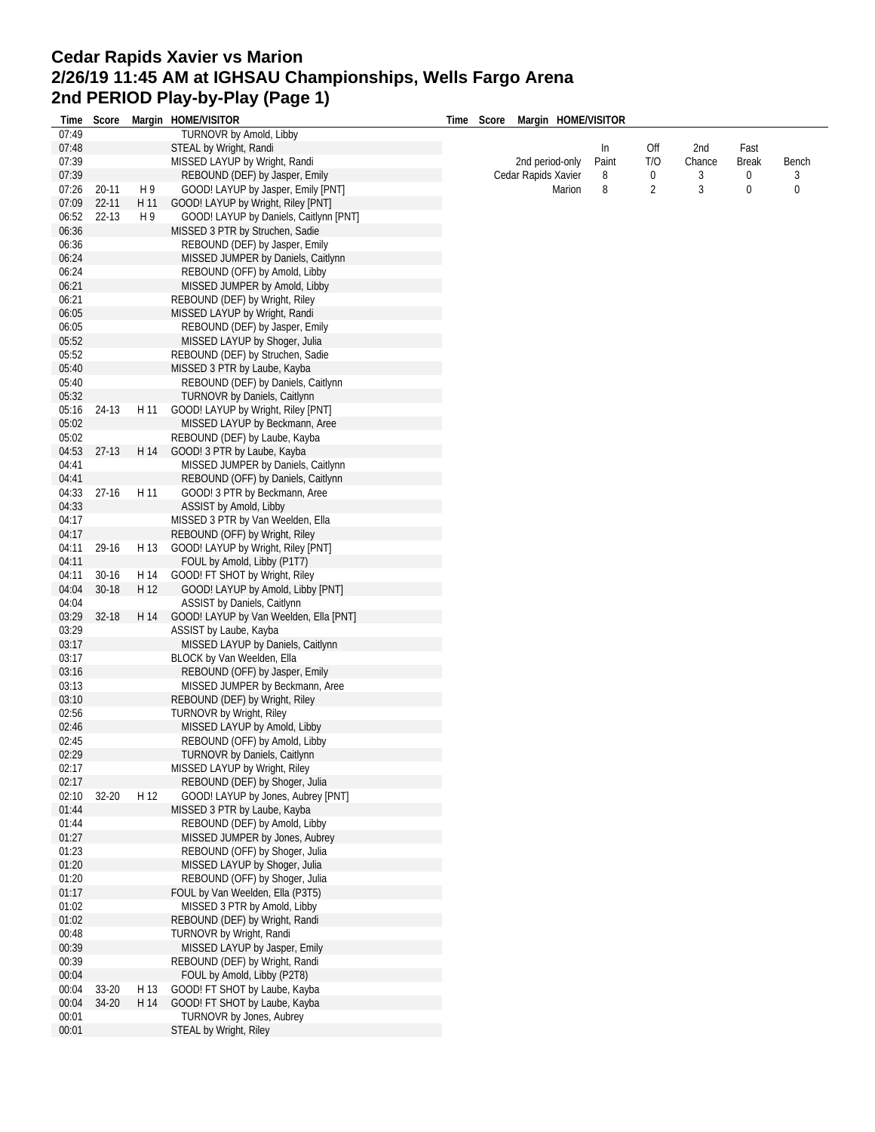## **Cedar Rapids Xavier vs Marion 2/26/19 11:45 AM at IGHSAU Championships, Wells Fargo Arena 2nd PERIOD Play-by-Play (Page 1)**

| Time           | Score     |      | Margin HOME/VISITOR                                                  | Time Score | Margin HOME/VISITOR |       |                |        |              |       |
|----------------|-----------|------|----------------------------------------------------------------------|------------|---------------------|-------|----------------|--------|--------------|-------|
| 07:49          |           |      | TURNOVR by Amold, Libby                                              |            |                     |       |                |        |              |       |
| 07:48          |           |      | STEAL by Wright, Randi                                               |            |                     | In    | Off            | 2nd    | Fast         |       |
| 07:39          |           |      | MISSED LAYUP by Wright, Randi                                        |            | 2nd period-only     | Paint | T/O            | Chance | <b>Break</b> | Bench |
| 07:39          |           |      | REBOUND (DEF) by Jasper, Emily                                       |            | Cedar Rapids Xavier | 8     | 0              | 3      | 0            | 3     |
| 07:26          | 20-11     | H 9  | GOOD! LAYUP by Jasper, Emily [PNT]                                   |            | Marion              | 8     | $\overline{2}$ | 3      | $\mathbf 0$  | 0     |
| 07:09          | $22 - 11$ | H 11 | GOOD! LAYUP by Wright, Riley [PNT]                                   |            |                     |       |                |        |              |       |
| 06:52          | $22 - 13$ | H 9  | GOOD! LAYUP by Daniels, Caitlynn [PNT]                               |            |                     |       |                |        |              |       |
| 06:36          |           |      | MISSED 3 PTR by Struchen, Sadie                                      |            |                     |       |                |        |              |       |
| 06:36<br>06:24 |           |      | REBOUND (DEF) by Jasper, Emily<br>MISSED JUMPER by Daniels, Caitlynn |            |                     |       |                |        |              |       |
| 06:24          |           |      | REBOUND (OFF) by Amold, Libby                                        |            |                     |       |                |        |              |       |
| 06:21          |           |      | MISSED JUMPER by Amold, Libby                                        |            |                     |       |                |        |              |       |
| 06:21          |           |      | REBOUND (DEF) by Wright, Riley                                       |            |                     |       |                |        |              |       |
| 06:05          |           |      | MISSED LAYUP by Wright, Randi                                        |            |                     |       |                |        |              |       |
| 06:05          |           |      | REBOUND (DEF) by Jasper, Emily                                       |            |                     |       |                |        |              |       |
| 05:52          |           |      | MISSED LAYUP by Shoger, Julia                                        |            |                     |       |                |        |              |       |
| 05:52          |           |      | REBOUND (DEF) by Struchen, Sadie                                     |            |                     |       |                |        |              |       |
| 05:40          |           |      | MISSED 3 PTR by Laube, Kayba                                         |            |                     |       |                |        |              |       |
| 05:40          |           |      | REBOUND (DEF) by Daniels, Caitlynn                                   |            |                     |       |                |        |              |       |
| 05:32          |           |      | TURNOVR by Daniels, Caitlynn                                         |            |                     |       |                |        |              |       |
| 05:16          | 24-13     | H 11 | GOOD! LAYUP by Wright, Riley [PNT]                                   |            |                     |       |                |        |              |       |
| 05:02          |           |      | MISSED LAYUP by Beckmann, Aree                                       |            |                     |       |                |        |              |       |
| 05:02          |           |      | REBOUND (DEF) by Laube, Kayba                                        |            |                     |       |                |        |              |       |
| 04:53          | $27-13$   | H 14 | GOOD! 3 PTR by Laube, Kayba                                          |            |                     |       |                |        |              |       |
| 04:41          |           |      | MISSED JUMPER by Daniels, Caitlynn                                   |            |                     |       |                |        |              |       |
| 04:41<br>04:33 | $27-16$   | H 11 | REBOUND (OFF) by Daniels, Caitlynn<br>GOOD! 3 PTR by Beckmann, Aree  |            |                     |       |                |        |              |       |
| 04:33          |           |      | ASSIST by Amold, Libby                                               |            |                     |       |                |        |              |       |
| 04:17          |           |      | MISSED 3 PTR by Van Weelden, Ella                                    |            |                     |       |                |        |              |       |
| 04:17          |           |      | REBOUND (OFF) by Wright, Riley                                       |            |                     |       |                |        |              |       |
| 04:11          | 29-16     | H 13 | GOOD! LAYUP by Wright, Riley [PNT]                                   |            |                     |       |                |        |              |       |
| 04:11          |           |      | FOUL by Amold, Libby (P1T7)                                          |            |                     |       |                |        |              |       |
| 04:11          | $30-16$   | H 14 | GOOD! FT SHOT by Wright, Riley                                       |            |                     |       |                |        |              |       |
| 04:04          | $30 - 18$ | H 12 | GOOD! LAYUP by Amold, Libby [PNT]                                    |            |                     |       |                |        |              |       |
| 04:04          |           |      | ASSIST by Daniels, Caitlynn                                          |            |                     |       |                |        |              |       |
| 03:29          | 32-18     | H 14 | GOOD! LAYUP by Van Weelden, Ella [PNT]                               |            |                     |       |                |        |              |       |
| 03:29          |           |      | ASSIST by Laube, Kayba                                               |            |                     |       |                |        |              |       |
| 03:17          |           |      | MISSED LAYUP by Daniels, Caitlynn                                    |            |                     |       |                |        |              |       |
| 03:17          |           |      | BLOCK by Van Weelden, Ella                                           |            |                     |       |                |        |              |       |
| 03:16          |           |      | REBOUND (OFF) by Jasper, Emily                                       |            |                     |       |                |        |              |       |
| 03:13          |           |      | MISSED JUMPER by Beckmann, Aree                                      |            |                     |       |                |        |              |       |
| 03:10<br>02:56 |           |      | REBOUND (DEF) by Wright, Riley<br>TURNOVR by Wright, Riley           |            |                     |       |                |        |              |       |
| 02:46          |           |      | MISSED LAYUP by Amold, Libby                                         |            |                     |       |                |        |              |       |
| 02:45          |           |      | REBOUND (OFF) by Amold, Libby                                        |            |                     |       |                |        |              |       |
| 02:29          |           |      | <b>TURNOVR by Daniels, Caitlynn</b>                                  |            |                     |       |                |        |              |       |
| 02:17          |           |      | MISSED LAYUP by Wright, Riley                                        |            |                     |       |                |        |              |       |
| 02:17          |           |      | REBOUND (DEF) by Shoger, Julia                                       |            |                     |       |                |        |              |       |
| 02:10          | 32-20     | H 12 | GOOD! LAYUP by Jones, Aubrey [PNT]                                   |            |                     |       |                |        |              |       |
| 01:44          |           |      | MISSED 3 PTR by Laube, Kayba                                         |            |                     |       |                |        |              |       |
| 01:44          |           |      | REBOUND (DEF) by Amold, Libby                                        |            |                     |       |                |        |              |       |
| 01:27          |           |      | MISSED JUMPER by Jones, Aubrey                                       |            |                     |       |                |        |              |       |
| 01:23          |           |      | REBOUND (OFF) by Shoger, Julia                                       |            |                     |       |                |        |              |       |
| 01:20          |           |      | MISSED LAYUP by Shoger, Julia                                        |            |                     |       |                |        |              |       |
| 01:20          |           |      | REBOUND (OFF) by Shoger, Julia                                       |            |                     |       |                |        |              |       |
| 01:17          |           |      | FOUL by Van Weelden, Ella (P3T5)                                     |            |                     |       |                |        |              |       |
| 01:02          |           |      | MISSED 3 PTR by Amold, Libby                                         |            |                     |       |                |        |              |       |
| 01:02          |           |      | REBOUND (DEF) by Wright, Randi                                       |            |                     |       |                |        |              |       |
| 00:48          |           |      | TURNOVR by Wright, Randi                                             |            |                     |       |                |        |              |       |
| 00:39          |           |      | MISSED LAYUP by Jasper, Emily                                        |            |                     |       |                |        |              |       |
| 00:39<br>00:04 |           |      | REBOUND (DEF) by Wright, Randi<br>FOUL by Amold, Libby (P2T8)        |            |                     |       |                |        |              |       |
| 00:04          | 33-20     | H 13 | GOOD! FT SHOT by Laube, Kayba                                        |            |                     |       |                |        |              |       |
| 00:04          | 34-20     | H 14 | GOOD! FT SHOT by Laube, Kayba                                        |            |                     |       |                |        |              |       |
| 00:01          |           |      | TURNOVR by Jones, Aubrey                                             |            |                     |       |                |        |              |       |
| 00:01          |           |      | <b>STEAL by Wright, Riley</b>                                        |            |                     |       |                |        |              |       |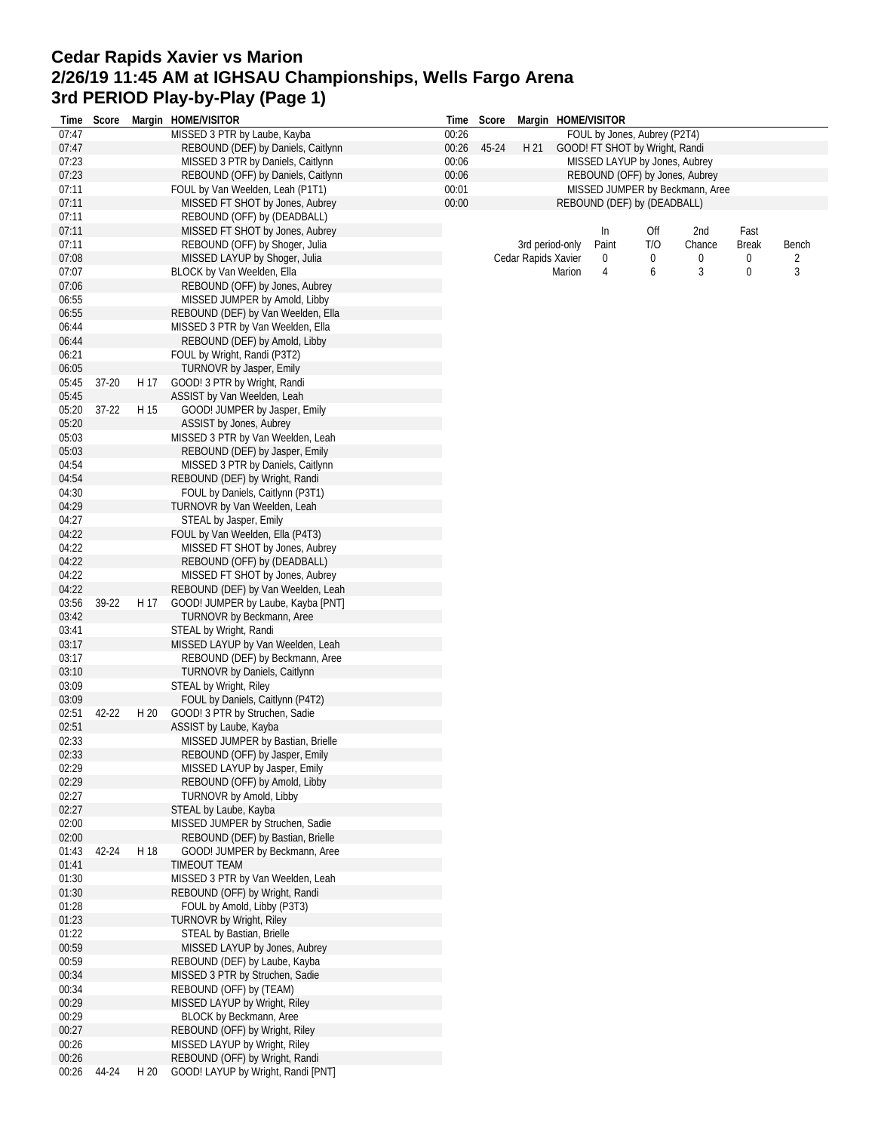## **Cedar Rapids Xavier vs Marion 2/26/19 11:45 AM at IGHSAU Championships, Wells Fargo Arena 3rd PERIOD Play-by-Play (Page 1)**

|                | Time Score |      | Margin HOME/VISITOR                                                      |                | Time Score |                     |                 | Margin HOME/VISITOR |                                |                                 |              |       |
|----------------|------------|------|--------------------------------------------------------------------------|----------------|------------|---------------------|-----------------|---------------------|--------------------------------|---------------------------------|--------------|-------|
| 07:47          |            |      | MISSED 3 PTR by Laube, Kayba                                             | 00:26          |            |                     |                 |                     | FOUL by Jones, Aubrey (P2T4)   |                                 |              |       |
| 07:47          |            |      | REBOUND (DEF) by Daniels, Caitlynn                                       | 00:26          | 45-24      | H 21                |                 |                     | GOOD! FT SHOT by Wright, Randi |                                 |              |       |
| 07:23          |            |      | MISSED 3 PTR by Daniels, Caitlynn                                        | 00:06          |            |                     |                 |                     | MISSED LAYUP by Jones, Aubrey  |                                 |              |       |
| 07:23          |            |      | REBOUND (OFF) by Daniels, Caitlynn                                       | 00:06          |            |                     |                 |                     | REBOUND (OFF) by Jones, Aubrey |                                 |              |       |
| 07:11<br>07:11 |            |      | FOUL by Van Weelden, Leah (P1T1)<br>MISSED FT SHOT by Jones, Aubrey      | 00:01<br>00:00 |            |                     |                 |                     |                                | MISSED JUMPER by Beckmann, Aree |              |       |
| 07:11          |            |      | REBOUND (OFF) by (DEADBALL)                                              |                |            |                     |                 |                     | REBOUND (DEF) by (DEADBALL)    |                                 |              |       |
| 07:11          |            |      | MISSED FT SHOT by Jones, Aubrey                                          |                |            |                     |                 | In                  | Off                            | 2nd                             | Fast         |       |
| 07:11          |            |      | REBOUND (OFF) by Shoger, Julia                                           |                |            |                     | 3rd period-only | Paint               | T/O                            | Chance                          | <b>Break</b> | Bench |
| 07:08          |            |      | MISSED LAYUP by Shoger, Julia                                            |                |            | Cedar Rapids Xavier |                 | 0                   | 0                              | 0                               | 0            | 2     |
| 07:07          |            |      | BLOCK by Van Weelden, Ella                                               |                |            |                     | Marion          | 4                   | 6                              | 3                               | 0            | 3     |
| 07:06          |            |      | REBOUND (OFF) by Jones, Aubrey                                           |                |            |                     |                 |                     |                                |                                 |              |       |
| 06:55          |            |      | MISSED JUMPER by Amold, Libby                                            |                |            |                     |                 |                     |                                |                                 |              |       |
| 06:55          |            |      | REBOUND (DEF) by Van Weelden, Ella                                       |                |            |                     |                 |                     |                                |                                 |              |       |
| 06:44          |            |      | MISSED 3 PTR by Van Weelden, Ella                                        |                |            |                     |                 |                     |                                |                                 |              |       |
| 06:44          |            |      | REBOUND (DEF) by Amold, Libby                                            |                |            |                     |                 |                     |                                |                                 |              |       |
| 06:21          |            |      | FOUL by Wright, Randi (P3T2)                                             |                |            |                     |                 |                     |                                |                                 |              |       |
| 06:05          |            |      | TURNOVR by Jasper, Emily                                                 |                |            |                     |                 |                     |                                |                                 |              |       |
| 05:45          | 37-20      | H 17 | GOOD! 3 PTR by Wright, Randi                                             |                |            |                     |                 |                     |                                |                                 |              |       |
| 05:45          |            |      | ASSIST by Van Weelden, Leah                                              |                |            |                     |                 |                     |                                |                                 |              |       |
| 05:20          | $37 - 22$  | H 15 | GOOD! JUMPER by Jasper, Emily                                            |                |            |                     |                 |                     |                                |                                 |              |       |
| 05:20          |            |      | ASSIST by Jones, Aubrey                                                  |                |            |                     |                 |                     |                                |                                 |              |       |
| 05:03          |            |      | MISSED 3 PTR by Van Weelden, Leah                                        |                |            |                     |                 |                     |                                |                                 |              |       |
| 05:03          |            |      | REBOUND (DEF) by Jasper, Emily                                           |                |            |                     |                 |                     |                                |                                 |              |       |
| 04:54          |            |      | MISSED 3 PTR by Daniels, Caitlynn                                        |                |            |                     |                 |                     |                                |                                 |              |       |
| 04:54          |            |      | REBOUND (DEF) by Wright, Randi                                           |                |            |                     |                 |                     |                                |                                 |              |       |
| 04:30          |            |      | FOUL by Daniels, Caitlynn (P3T1)                                         |                |            |                     |                 |                     |                                |                                 |              |       |
| 04:29          |            |      | TURNOVR by Van Weelden, Leah                                             |                |            |                     |                 |                     |                                |                                 |              |       |
| 04:27          |            |      | STEAL by Jasper, Emily                                                   |                |            |                     |                 |                     |                                |                                 |              |       |
| 04:22          |            |      | FOUL by Van Weelden, Ella (P4T3)                                         |                |            |                     |                 |                     |                                |                                 |              |       |
| 04:22          |            |      | MISSED FT SHOT by Jones, Aubrey                                          |                |            |                     |                 |                     |                                |                                 |              |       |
| 04:22          |            |      | REBOUND (OFF) by (DEADBALL)<br>MISSED FT SHOT by Jones, Aubrey           |                |            |                     |                 |                     |                                |                                 |              |       |
| 04:22<br>04:22 |            |      |                                                                          |                |            |                     |                 |                     |                                |                                 |              |       |
| 03:56          | 39-22      | H 17 | REBOUND (DEF) by Van Weelden, Leah<br>GOOD! JUMPER by Laube, Kayba [PNT] |                |            |                     |                 |                     |                                |                                 |              |       |
| 03:42          |            |      | TURNOVR by Beckmann, Aree                                                |                |            |                     |                 |                     |                                |                                 |              |       |
| 03:41          |            |      | STEAL by Wright, Randi                                                   |                |            |                     |                 |                     |                                |                                 |              |       |
| 03:17          |            |      | MISSED LAYUP by Van Weelden, Leah                                        |                |            |                     |                 |                     |                                |                                 |              |       |
| 03:17          |            |      | REBOUND (DEF) by Beckmann, Aree                                          |                |            |                     |                 |                     |                                |                                 |              |       |
| 03:10          |            |      | <b>TURNOVR by Daniels, Caitlynn</b>                                      |                |            |                     |                 |                     |                                |                                 |              |       |
| 03:09          |            |      | STEAL by Wright, Riley                                                   |                |            |                     |                 |                     |                                |                                 |              |       |
| 03:09          |            |      | FOUL by Daniels, Caitlynn (P4T2)                                         |                |            |                     |                 |                     |                                |                                 |              |       |
| 02:51          | 42-22      | H 20 | GOOD! 3 PTR by Struchen, Sadie                                           |                |            |                     |                 |                     |                                |                                 |              |       |
| 02:51          |            |      | ASSIST by Laube, Kayba                                                   |                |            |                     |                 |                     |                                |                                 |              |       |
| 02:33          |            |      | MISSED JUMPER by Bastian, Brielle                                        |                |            |                     |                 |                     |                                |                                 |              |       |
| 02:33          |            |      | REBOUND (OFF) by Jasper, Emily                                           |                |            |                     |                 |                     |                                |                                 |              |       |
| 02:29          |            |      | MISSED LAYUP by Jasper, Emily                                            |                |            |                     |                 |                     |                                |                                 |              |       |
| 02:29          |            |      | REBOUND (OFF) by Amold, Libby                                            |                |            |                     |                 |                     |                                |                                 |              |       |
| 02:27          |            |      | TURNOVR by Amold, Libby                                                  |                |            |                     |                 |                     |                                |                                 |              |       |
| 02:27          |            |      | STEAL by Laube, Kayba                                                    |                |            |                     |                 |                     |                                |                                 |              |       |
| 02:00          |            |      | MISSED JUMPER by Struchen, Sadie                                         |                |            |                     |                 |                     |                                |                                 |              |       |
| 02:00          |            |      | REBOUND (DEF) by Bastian, Brielle                                        |                |            |                     |                 |                     |                                |                                 |              |       |
| 01:43          | 42-24      | H 18 | GOOD! JUMPER by Beckmann, Aree                                           |                |            |                     |                 |                     |                                |                                 |              |       |
| 01:41          |            |      | TIMEOUT TEAM                                                             |                |            |                     |                 |                     |                                |                                 |              |       |
| 01:30          |            |      | MISSED 3 PTR by Van Weelden, Leah<br>REBOUND (OFF) by Wright, Randi      |                |            |                     |                 |                     |                                |                                 |              |       |
| 01:30<br>01:28 |            |      | FOUL by Amold, Libby (P3T3)                                              |                |            |                     |                 |                     |                                |                                 |              |       |
| 01:23          |            |      | <b>TURNOVR by Wright, Riley</b>                                          |                |            |                     |                 |                     |                                |                                 |              |       |
| 01:22          |            |      | STEAL by Bastian, Brielle                                                |                |            |                     |                 |                     |                                |                                 |              |       |
| 00:59          |            |      | MISSED LAYUP by Jones, Aubrey                                            |                |            |                     |                 |                     |                                |                                 |              |       |
| 00:59          |            |      | REBOUND (DEF) by Laube, Kayba                                            |                |            |                     |                 |                     |                                |                                 |              |       |
| 00:34          |            |      | MISSED 3 PTR by Struchen, Sadie                                          |                |            |                     |                 |                     |                                |                                 |              |       |
| 00:34          |            |      | REBOUND (OFF) by (TEAM)                                                  |                |            |                     |                 |                     |                                |                                 |              |       |
| 00:29          |            |      | MISSED LAYUP by Wright, Riley                                            |                |            |                     |                 |                     |                                |                                 |              |       |
| 00:29          |            |      | BLOCK by Beckmann, Aree                                                  |                |            |                     |                 |                     |                                |                                 |              |       |
| 00:27          |            |      | REBOUND (OFF) by Wright, Riley                                           |                |            |                     |                 |                     |                                |                                 |              |       |
| 00:26          |            |      | MISSED LAYUP by Wright, Riley                                            |                |            |                     |                 |                     |                                |                                 |              |       |
| 00:26          |            |      | REBOUND (OFF) by Wright, Randi                                           |                |            |                     |                 |                     |                                |                                 |              |       |
| 00:26          | 44-24      | H 20 | GOOD! LAYUP by Wright, Randi [PNT]                                       |                |            |                     |                 |                     |                                |                                 |              |       |